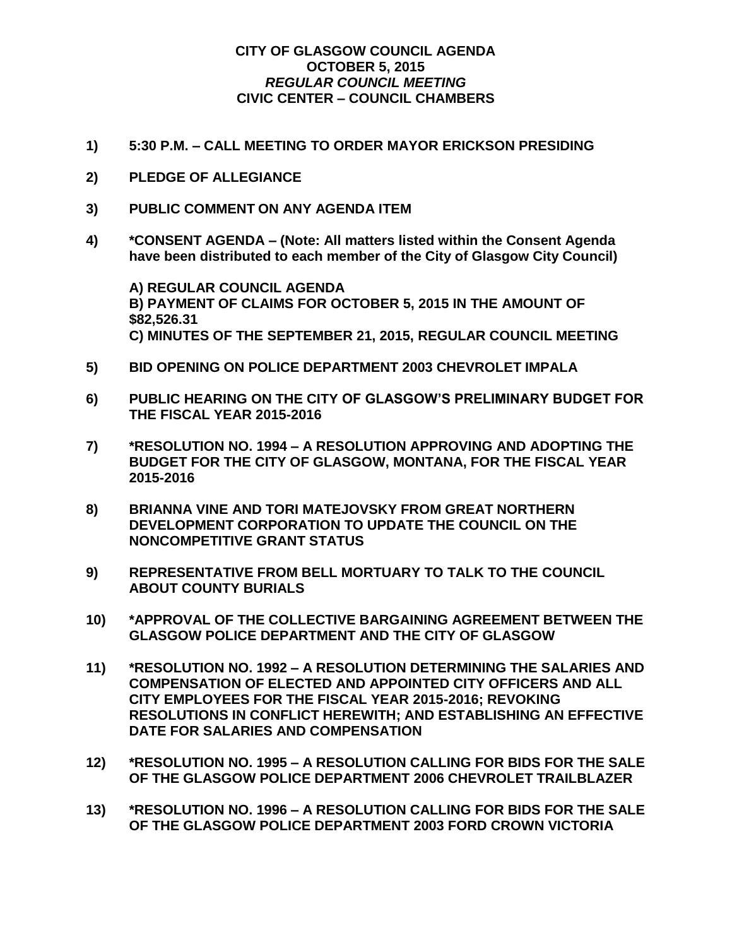## **CITY OF GLASGOW COUNCIL AGENDA OCTOBER 5, 2015** *REGULAR COUNCIL MEETING* **CIVIC CENTER – COUNCIL CHAMBERS**

- **1) 5:30 P.M. – CALL MEETING TO ORDER MAYOR ERICKSON PRESIDING**
- **2) PLEDGE OF ALLEGIANCE**
- **3) PUBLIC COMMENT ON ANY AGENDA ITEM**
- **4) \*CONSENT AGENDA – (Note: All matters listed within the Consent Agenda have been distributed to each member of the City of Glasgow City Council)**

**A) REGULAR COUNCIL AGENDA B) PAYMENT OF CLAIMS FOR OCTOBER 5, 2015 IN THE AMOUNT OF \$82,526.31 C) MINUTES OF THE SEPTEMBER 21, 2015, REGULAR COUNCIL MEETING**

- **5) BID OPENING ON POLICE DEPARTMENT 2003 CHEVROLET IMPALA**
- **6) PUBLIC HEARING ON THE CITY OF GLASGOW'S PRELIMINARY BUDGET FOR THE FISCAL YEAR 2015-2016**
- **7) \*RESOLUTION NO. 1994 – A RESOLUTION APPROVING AND ADOPTING THE BUDGET FOR THE CITY OF GLASGOW, MONTANA, FOR THE FISCAL YEAR 2015-2016**
- **8) BRIANNA VINE AND TORI MATEJOVSKY FROM GREAT NORTHERN DEVELOPMENT CORPORATION TO UPDATE THE COUNCIL ON THE NONCOMPETITIVE GRANT STATUS**
- **9) REPRESENTATIVE FROM BELL MORTUARY TO TALK TO THE COUNCIL ABOUT COUNTY BURIALS**
- **10) \*APPROVAL OF THE COLLECTIVE BARGAINING AGREEMENT BETWEEN THE GLASGOW POLICE DEPARTMENT AND THE CITY OF GLASGOW**
- **11) \*RESOLUTION NO. 1992 – A RESOLUTION DETERMINING THE SALARIES AND COMPENSATION OF ELECTED AND APPOINTED CITY OFFICERS AND ALL CITY EMPLOYEES FOR THE FISCAL YEAR 2015-2016; REVOKING RESOLUTIONS IN CONFLICT HEREWITH; AND ESTABLISHING AN EFFECTIVE DATE FOR SALARIES AND COMPENSATION**
- **12) \*RESOLUTION NO. 1995 – A RESOLUTION CALLING FOR BIDS FOR THE SALE OF THE GLASGOW POLICE DEPARTMENT 2006 CHEVROLET TRAILBLAZER**
- **13) \*RESOLUTION NO. 1996 – A RESOLUTION CALLING FOR BIDS FOR THE SALE OF THE GLASGOW POLICE DEPARTMENT 2003 FORD CROWN VICTORIA**